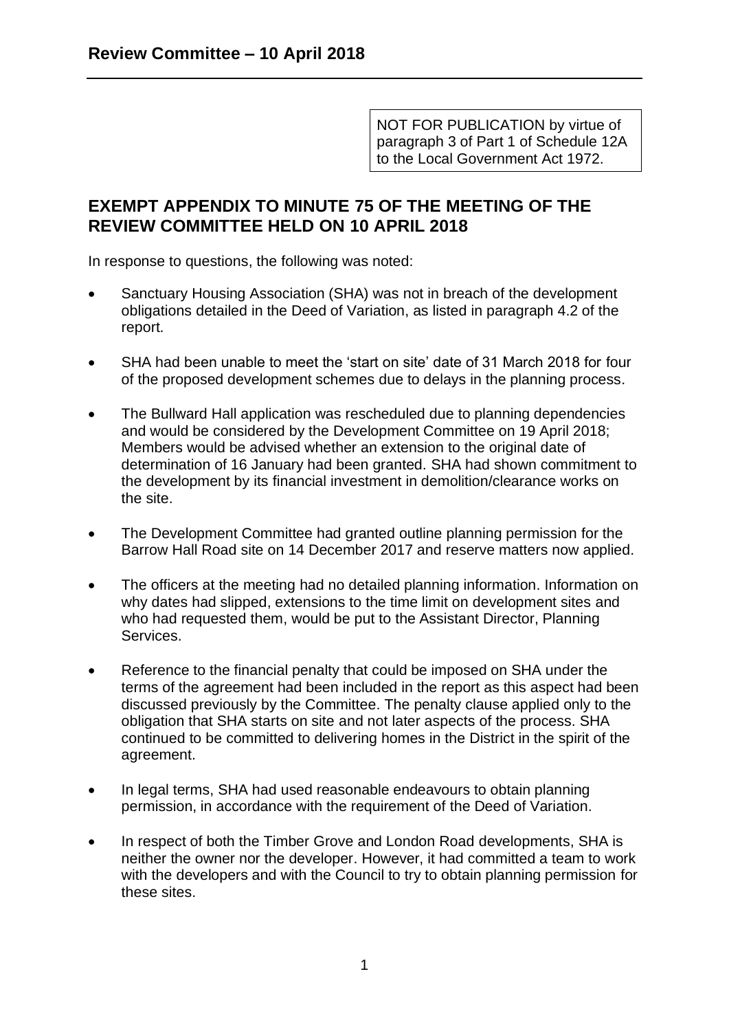NOT FOR PUBLICATION by virtue of paragraph 3 of Part 1 of Schedule 12A to the Local Government Act 1972.

## **EXEMPT APPENDIX TO MINUTE 75 OF THE MEETING OF THE REVIEW COMMITTEE HELD ON 10 APRIL 2018**

In response to questions, the following was noted:

- Sanctuary Housing Association (SHA) was not in breach of the development obligations detailed in the Deed of Variation, as listed in paragraph 4.2 of the report.
- SHA had been unable to meet the 'start on site' date of 31 March 2018 for four of the proposed development schemes due to delays in the planning process.
- The Bullward Hall application was rescheduled due to planning dependencies and would be considered by the Development Committee on 19 April 2018; Members would be advised whether an extension to the original date of determination of 16 January had been granted. SHA had shown commitment to the development by its financial investment in demolition/clearance works on the site.
- The Development Committee had granted outline planning permission for the Barrow Hall Road site on 14 December 2017 and reserve matters now applied.
- The officers at the meeting had no detailed planning information. Information on why dates had slipped, extensions to the time limit on development sites and who had requested them, would be put to the Assistant Director, Planning Services.
- Reference to the financial penalty that could be imposed on SHA under the terms of the agreement had been included in the report as this aspect had been discussed previously by the Committee. The penalty clause applied only to the obligation that SHA starts on site and not later aspects of the process. SHA continued to be committed to delivering homes in the District in the spirit of the agreement.
- In legal terms, SHA had used reasonable endeavours to obtain planning permission, in accordance with the requirement of the Deed of Variation.
- In respect of both the Timber Grove and London Road developments, SHA is neither the owner nor the developer. However, it had committed a team to work with the developers and with the Council to try to obtain planning permission for these sites.